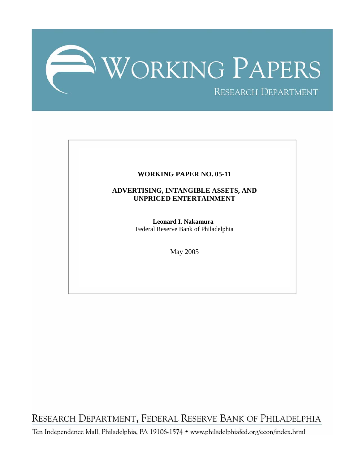

## **WORKING PAPER NO. 05-11**

## **ADVERTISING, INTANGIBLE ASSETS, AND UNPRICED ENTERTAINMENT**

**Leonard I. Nakamura** Federal Reserve Bank of Philadelphia

May 2005

RESEARCH DEPARTMENT, FEDERAL RESERVE BANK OF PHILADELPHIA

Ten Independence Mall, Philadelphia, PA 19106-1574 · www.philadelphiafed.org/econ/index.html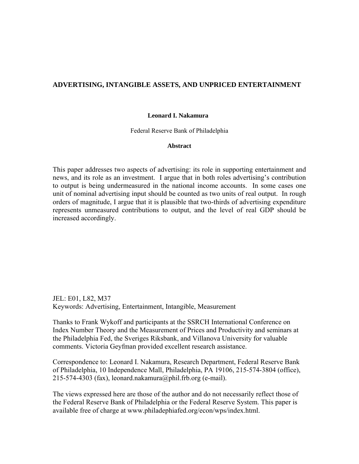## **ADVERTISING, INTANGIBLE ASSETS, AND UNPRICED ENTERTAINMENT**

### **Leonard I. Nakamura**

Federal Reserve Bank of Philadelphia

### **Abstract**

This paper addresses two aspects of advertising: its role in supporting entertainment and news, and its role as an investment. I argue that in both roles advertising's contribution to output is being undermeasured in the national income accounts. In some cases one unit of nominal advertising input should be counted as two units of real output. In rough orders of magnitude, I argue that it is plausible that two-thirds of advertising expenditure represents unmeasured contributions to output, and the level of real GDP should be increased accordingly.

JEL: E01, L82, M37 Keywords: Advertising, Entertainment, Intangible, Measurement

Thanks to Frank Wykoff and participants at the SSRCH International Conference on Index Number Theory and the Measurement of Prices and Productivity and seminars at the Philadelphia Fed, the Sveriges Riksbank, and Villanova University for valuable comments. Victoria Geyfman provided excellent research assistance.

Correspondence to: Leonard I. Nakamura, Research Department, Federal Reserve Bank of Philadelphia, 10 Independence Mall, Philadelphia, PA 19106, 215-574-3804 (office), 215-574-4303 (fax), leonard.nakamura@phil.frb.org (e-mail).

The views expressed here are those of the author and do not necessarily reflect those of the Federal Reserve Bank of Philadelphia or the Federal Reserve System. This paper is available free of charge at www.philadephiafed.org/econ/wps/index.html.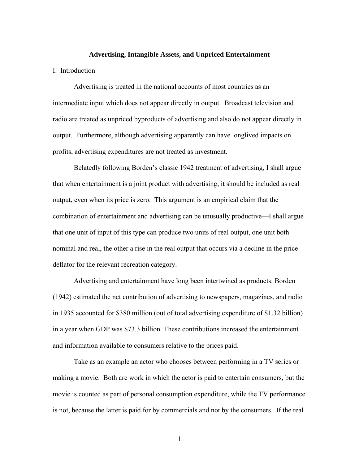#### **Advertising, Intangible Assets, and Unpriced Entertainment**

### I. Introduction

Advertising is treated in the national accounts of most countries as an intermediate input which does not appear directly in output. Broadcast television and radio are treated as unpriced byproducts of advertising and also do not appear directly in output. Furthermore, although advertising apparently can have longlived impacts on profits, advertising expenditures are not treated as investment.

Belatedly following Borden's classic 1942 treatment of advertising, I shall argue that when entertainment is a joint product with advertising, it should be included as real output, even when its price is zero. This argument is an empirical claim that the combination of entertainment and advertising can be unusually productive—I shall argue that one unit of input of this type can produce two units of real output, one unit both nominal and real, the other a rise in the real output that occurs via a decline in the price deflator for the relevant recreation category.

Advertising and entertainment have long been intertwined as products. Borden (1942) estimated the net contribution of advertising to newspapers, magazines, and radio in 1935 accounted for \$380 million (out of total advertising expenditure of \$1.32 billion) in a year when GDP was \$73.3 billion. These contributions increased the entertainment and information available to consumers relative to the prices paid.

Take as an example an actor who chooses between performing in a TV series or making a movie. Both are work in which the actor is paid to entertain consumers, but the movie is counted as part of personal consumption expenditure, while the TV performance is not, because the latter is paid for by commercials and not by the consumers. If the real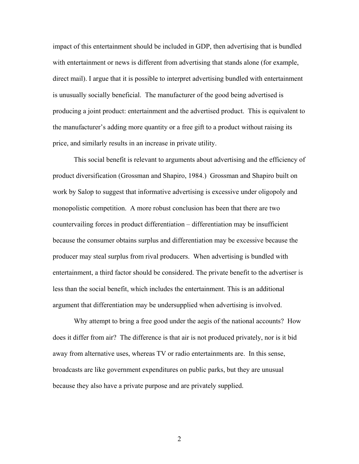impact of this entertainment should be included in GDP, then advertising that is bundled with entertainment or news is different from advertising that stands alone (for example, direct mail). I argue that it is possible to interpret advertising bundled with entertainment is unusually socially beneficial. The manufacturer of the good being advertised is producing a joint product: entertainment and the advertised product. This is equivalent to the manufacturer's adding more quantity or a free gift to a product without raising its price, and similarly results in an increase in private utility.

This social benefit is relevant to arguments about advertising and the efficiency of product diversification (Grossman and Shapiro, 1984.) Grossman and Shapiro built on work by Salop to suggest that informative advertising is excessive under oligopoly and monopolistic competition. A more robust conclusion has been that there are two countervailing forces in product differentiation – differentiation may be insufficient because the consumer obtains surplus and differentiation may be excessive because the producer may steal surplus from rival producers. When advertising is bundled with entertainment, a third factor should be considered. The private benefit to the advertiser is less than the social benefit, which includes the entertainment. This is an additional argument that differentiation may be undersupplied when advertising is involved.

Why attempt to bring a free good under the aegis of the national accounts? How does it differ from air? The difference is that air is not produced privately, nor is it bid away from alternative uses, whereas TV or radio entertainments are. In this sense, broadcasts are like government expenditures on public parks, but they are unusual because they also have a private purpose and are privately supplied.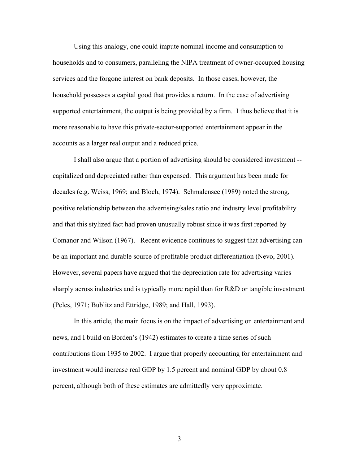Using this analogy, one could impute nominal income and consumption to households and to consumers, paralleling the NIPA treatment of owner-occupied housing services and the forgone interest on bank deposits. In those cases, however, the household possesses a capital good that provides a return. In the case of advertising supported entertainment, the output is being provided by a firm. I thus believe that it is more reasonable to have this private-sector-supported entertainment appear in the accounts as a larger real output and a reduced price.

I shall also argue that a portion of advertising should be considered investment - capitalized and depreciated rather than expensed. This argument has been made for decades (e.g. Weiss, 1969; and Bloch, 1974). Schmalensee (1989) noted the strong, positive relationship between the advertising/sales ratio and industry level profitability and that this stylized fact had proven unusually robust since it was first reported by Comanor and Wilson (1967). Recent evidence continues to suggest that advertising can be an important and durable source of profitable product differentiation (Nevo, 2001). However, several papers have argued that the depreciation rate for advertising varies sharply across industries and is typically more rapid than for R&D or tangible investment (Peles, 1971; Bublitz and Ettridge, 1989; and Hall, 1993).

In this article, the main focus is on the impact of advertising on entertainment and news, and I build on Borden's (1942) estimates to create a time series of such contributions from 1935 to 2002. I argue that properly accounting for entertainment and investment would increase real GDP by 1.5 percent and nominal GDP by about 0.8 percent, although both of these estimates are admittedly very approximate.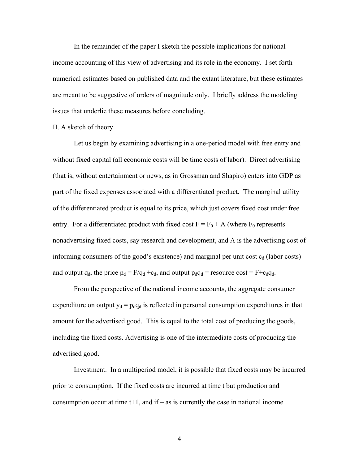In the remainder of the paper I sketch the possible implications for national income accounting of this view of advertising and its role in the economy. I set forth numerical estimates based on published data and the extant literature, but these estimates are meant to be suggestive of orders of magnitude only. I briefly address the modeling issues that underlie these measures before concluding.

## II. A sketch of theory

 Let us begin by examining advertising in a one-period model with free entry and without fixed capital (all economic costs will be time costs of labor). Direct advertising (that is, without entertainment or news, as in Grossman and Shapiro) enters into GDP as part of the fixed expenses associated with a differentiated product. The marginal utility of the differentiated product is equal to its price, which just covers fixed cost under free entry. For a differentiated product with fixed cost  $F = F_0 + A$  (where  $F_0$  represents nonadvertising fixed costs, say research and development, and A is the advertising cost of informing consumers of the good's existence) and marginal per unit cost  $c_d$  (labor costs) and output  $q_d$ , the price  $p_d = F/q_d + c_d$ , and output  $p_dq_d =$  resource cost = F+c<sub>d</sub>q<sub>d</sub>.

 From the perspective of the national income accounts, the aggregate consumer expenditure on output  $y_d = p_d q_d$  is reflected in personal consumption expenditures in that amount for the advertised good. This is equal to the total cost of producing the goods, including the fixed costs. Advertising is one of the intermediate costs of producing the advertised good.

 Investment. In a multiperiod model, it is possible that fixed costs may be incurred prior to consumption. If the fixed costs are incurred at time t but production and consumption occur at time  $t+1$ , and if – as is currently the case in national income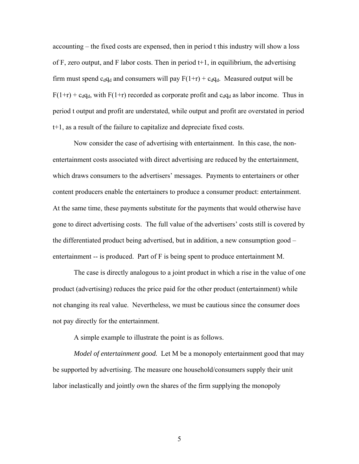accounting – the fixed costs are expensed, then in period t this industry will show a loss of F, zero output, and F labor costs. Then in period  $t+1$ , in equilibrium, the advertising firm must spend  $c_dq_d$  and consumers will pay  $F(1+r) + c_dq_d$ . Measured output will be  $F(1+r) + c_d q_d$ , with  $F(1+r)$  recorded as corporate profit and  $c_d q_d$  as labor income. Thus in period t output and profit are understated, while output and profit are overstated in period t+1, as a result of the failure to capitalize and depreciate fixed costs.

 Now consider the case of advertising with entertainment. In this case, the nonentertainment costs associated with direct advertising are reduced by the entertainment, which draws consumers to the advertisers' messages. Payments to entertainers or other content producers enable the entertainers to produce a consumer product: entertainment. At the same time, these payments substitute for the payments that would otherwise have gone to direct advertising costs. The full value of the advertisers' costs still is covered by the differentiated product being advertised, but in addition, a new consumption good – entertainment -- is produced. Part of F is being spent to produce entertainment M.

 The case is directly analogous to a joint product in which a rise in the value of one product (advertising) reduces the price paid for the other product (entertainment) while not changing its real value. Nevertheless, we must be cautious since the consumer does not pay directly for the entertainment.

A simple example to illustrate the point is as follows.

*Model of entertainment good.* Let M be a monopoly entertainment good that may be supported by advertising. The measure one household/consumers supply their unit labor inelastically and jointly own the shares of the firm supplying the monopoly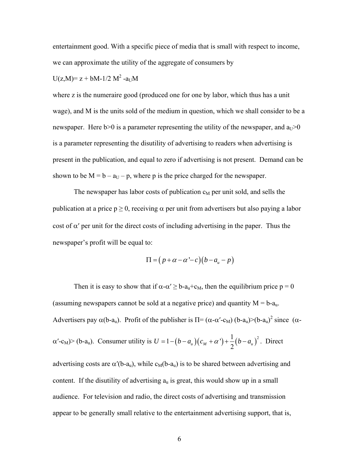entertainment good. With a specific piece of media that is small with respect to income, we can approximate the utility of the aggregate of consumers by

$$
U(z,M)=z+bM-1/2\ M^2-a_UM
$$

where z is the numeraire good (produced one for one by labor, which thus has a unit wage), and M is the units sold of the medium in question, which we shall consider to be a newspaper. Here b>0 is a parameter representing the utility of the newspaper, and  $a_U$ >0 is a parameter representing the disutility of advertising to readers when advertising is present in the publication, and equal to zero if advertising is not present. Demand can be shown to be  $M = b - a_U - p$ , where p is the price charged for the newspaper.

The newspaper has labor costs of publication  $c_M$  per unit sold, and sells the publication at a price  $p \ge 0$ , receiving  $\alpha$  per unit from advertisers but also paying a labor cost of  $\alpha'$  per unit for the direct costs of including advertising in the paper. Thus the newspaper's profit will be equal to:

$$
\Pi = (p + \alpha - \alpha' - c)(b - a_u - p)
$$

Then it is easy to show that if  $\alpha-\alpha' \geq b-a_{u}+c_{M}$ , then the equilibrium price  $p = 0$ (assuming newspapers cannot be sold at a negative price) and quantity  $M = b-a_n$ . Advertisers pay  $\alpha(b-a_u)$ . Profit of the publisher is  $\Pi = (\alpha - \alpha' - c_M)(b-a_u)$  (b-a<sub>u</sub>)<sup>2</sup> since ( $\alpha$ - $\alpha'$ -c<sub>M</sub>)> (b-a<sub>u</sub>). Consumer utility is  $U = 1 - (b - a_u)(c_M + \alpha') + \frac{1}{2}(b - a_u)^2$  $U = 1 - (b - a_u)(c_M + \alpha') + \frac{1}{2}(b - a_u)^2$ . Direct advertising costs are  $\alpha'$ (b-a<sub>u</sub>), while c<sub>M</sub>(b-a<sub>u</sub>) is to be shared between advertising and content. If the disutility of advertising  $a<sub>u</sub>$  is great, this would show up in a small audience. For television and radio, the direct costs of advertising and transmission appear to be generally small relative to the entertainment advertising support, that is,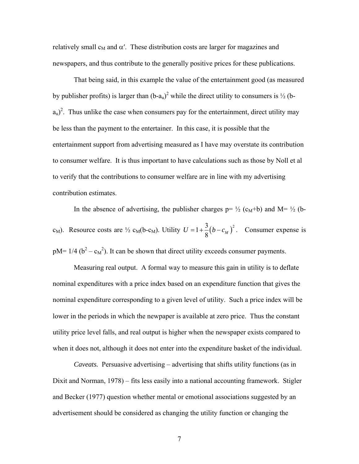relatively small  $c_M$  and  $\alpha'$ . These distribution costs are larger for magazines and newspapers, and thus contribute to the generally positive prices for these publications.

 That being said, in this example the value of the entertainment good (as measured by publisher profits) is larger than  $(b-a<sub>u</sub>)<sup>2</sup>$  while the direct utility to consumers is  $\frac{1}{2}$  (b- $(a<sub>u</sub>)<sup>2</sup>$ . Thus unlike the case when consumers pay for the entertainment, direct utility may be less than the payment to the entertainer. In this case, it is possible that the entertainment support from advertising measured as I have may overstate its contribution to consumer welfare. It is thus important to have calculations such as those by Noll et al to verify that the contributions to consumer welfare are in line with my advertising contribution estimates.

In the absence of advertising, the publisher charges  $p= \frac{1}{2}$  (c<sub>M</sub>+b) and M=  $\frac{1}{2}$  (bc<sub>M</sub>). Resource costs are  $\frac{1}{2}$  c<sub>M</sub>(b-c<sub>M</sub>). Utility  $U = 1 + \frac{3}{6}(b - c_M)^2$  $U = 1 + \frac{3}{8} (b - c_M)^2$ . Consumer expense is  $pM = 1/4 (b^2 - c_M^2)$ . It can be shown that direct utility exceeds consumer payments.

 Measuring real output. A formal way to measure this gain in utility is to deflate nominal expenditures with a price index based on an expenditure function that gives the nominal expenditure corresponding to a given level of utility. Such a price index will be lower in the periods in which the newpaper is available at zero price. Thus the constant utility price level falls, and real output is higher when the newspaper exists compared to when it does not, although it does not enter into the expenditure basket of the individual.

*Caveats.* Persuasive advertising – advertising that shifts utility functions (as in Dixit and Norman, 1978) – fits less easily into a national accounting framework. Stigler and Becker (1977) question whether mental or emotional associations suggested by an advertisement should be considered as changing the utility function or changing the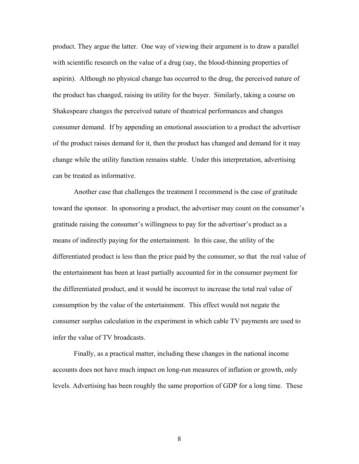product. They argue the latter. One way of viewing their argument is to draw a parallel with scientific research on the value of a drug (say, the blood-thinning properties of aspirin). Although no physical change has occurred to the drug, the perceived nature of the product has changed, raising its utility for the buyer. Similarly, taking a course on Shakespeare changes the perceived nature of theatrical performances and changes consumer demand. If by appending an emotional association to a product the advertiser of the product raises demand for it, then the product has changed and demand for it may change while the utility function remains stable. Under this interpretation, advertising can be treated as informative.

 Another case that challenges the treatment I recommend is the case of gratitude toward the sponsor. In sponsoring a product, the advertiser may count on the consumer's gratitude raising the consumer's willingness to pay for the advertiser's product as a means of indirectly paying for the entertainment. In this case, the utility of the differentiated product is less than the price paid by the consumer, so that the real value of the entertainment has been at least partially accounted for in the consumer payment for the differentiated product, and it would be incorrect to increase the total real value of consumption by the value of the entertainment. This effect would not negate the consumer surplus calculation in the experiment in which cable TV payments are used to infer the value of TV broadcasts.

 Finally, as a practical matter, including these changes in the national income accounts does not have much impact on long-run measures of inflation or growth, only levels. Advertising has been roughly the same proportion of GDP for a long time. These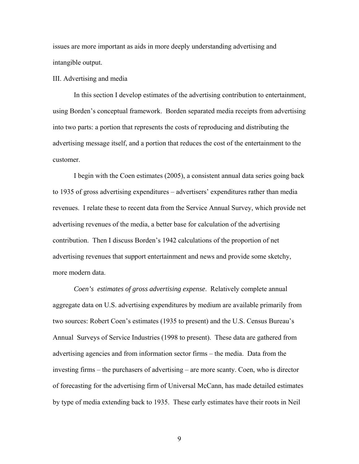issues are more important as aids in more deeply understanding advertising and intangible output.

III. Advertising and media

 In this section I develop estimates of the advertising contribution to entertainment, using Borden's conceptual framework. Borden separated media receipts from advertising into two parts: a portion that represents the costs of reproducing and distributing the advertising message itself, and a portion that reduces the cost of the entertainment to the customer.

 I begin with the Coen estimates (2005), a consistent annual data series going back to 1935 of gross advertising expenditures – advertisers' expenditures rather than media revenues. I relate these to recent data from the Service Annual Survey, which provide net advertising revenues of the media, a better base for calculation of the advertising contribution. Then I discuss Borden's 1942 calculations of the proportion of net advertising revenues that support entertainment and news and provide some sketchy, more modern data.

*Coen's estimates of gross advertising expense*. Relatively complete annual aggregate data on U.S. advertising expenditures by medium are available primarily from two sources: Robert Coen's estimates (1935 to present) and the U.S. Census Bureau's Annual Surveys of Service Industries (1998 to present). These data are gathered from advertising agencies and from information sector firms – the media. Data from the investing firms – the purchasers of advertising – are more scanty. Coen, who is director of forecasting for the advertising firm of Universal McCann, has made detailed estimates by type of media extending back to 1935. These early estimates have their roots in Neil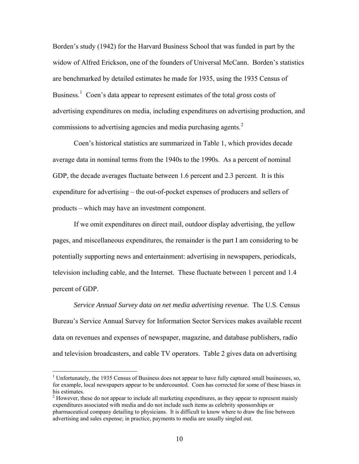Borden's study (1942) for the Harvard Business School that was funded in part by the widow of Alfred Erickson, one of the founders of Universal McCann. Borden's statistics are benchmarked by detailed estimates he made for 1935, using the 1935 Census of Business.<sup>[1](#page-11-0)</sup> Coen's data appear to represent estimates of the total *gross* costs of advertising expenditures on media, including expenditures on advertising production, and commissions to advertising agencies and media purchasing agents. $2$ 

 Coen's historical statistics are summarized in Table 1, which provides decade average data in nominal terms from the 1940s to the 1990s. As a percent of nominal GDP, the decade averages fluctuate between 1.6 percent and 2.3 percent. It is this expenditure for advertising – the out-of-pocket expenses of producers and sellers of products – which may have an investment component.

 If we omit expenditures on direct mail, outdoor display advertising, the yellow pages, and miscellaneous expenditures, the remainder is the part I am considering to be potentially supporting news and entertainment: advertising in newspapers, periodicals, television including cable, and the Internet. These fluctuate between 1 percent and 1.4 percent of GDP.

*Service Annual Survey data on net media advertising revenue.* The U.S. Census Bureau's Service Annual Survey for Information Sector Services makes available recent data on revenues and expenses of newspaper, magazine, and database publishers, radio and television broadcasters, and cable TV operators. Table 2 gives data on advertising

 $\overline{a}$ 

<span id="page-11-0"></span><sup>&</sup>lt;sup>1</sup> Unfortunately, the 1935 Census of Business does not appear to have fully captured small businesses, so, for example, local newspapers appear to be undercounted. Coen has corrected for some of these biases in his estimates.

<span id="page-11-1"></span> $2$  However, these do not appear to include all marketing expenditures, as they appear to represent mainly expenditures associated with media and do not include such items as celebrity sponsorships or pharmaceutical company detailing to physicians. It is difficult to know where to draw the line between advertising and sales expense; in practice, payments to media are usually singled out.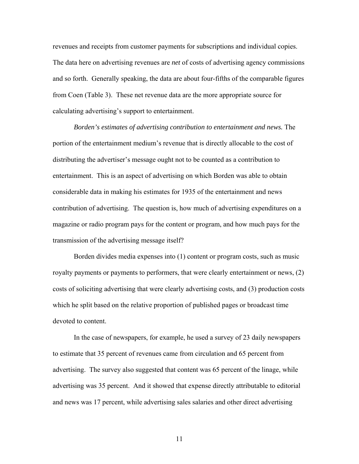revenues and receipts from customer payments for subscriptions and individual copies. The data here on advertising revenues are *net* of costs of advertising agency commissions and so forth. Generally speaking, the data are about four-fifths of the comparable figures from Coen (Table 3). These net revenue data are the more appropriate source for calculating advertising's support to entertainment.

*Borden's estimates of advertising contribution to entertainment and news.* The portion of the entertainment medium's revenue that is directly allocable to the cost of distributing the advertiser's message ought not to be counted as a contribution to entertainment. This is an aspect of advertising on which Borden was able to obtain considerable data in making his estimates for 1935 of the entertainment and news contribution of advertising. The question is, how much of advertising expenditures on a magazine or radio program pays for the content or program, and how much pays for the transmission of the advertising message itself?

 Borden divides media expenses into (1) content or program costs, such as music royalty payments or payments to performers, that were clearly entertainment or news, (2) costs of soliciting advertising that were clearly advertising costs, and (3) production costs which he split based on the relative proportion of published pages or broadcast time devoted to content.

 In the case of newspapers, for example, he used a survey of 23 daily newspapers to estimate that 35 percent of revenues came from circulation and 65 percent from advertising. The survey also suggested that content was 65 percent of the linage, while advertising was 35 percent. And it showed that expense directly attributable to editorial and news was 17 percent, while advertising sales salaries and other direct advertising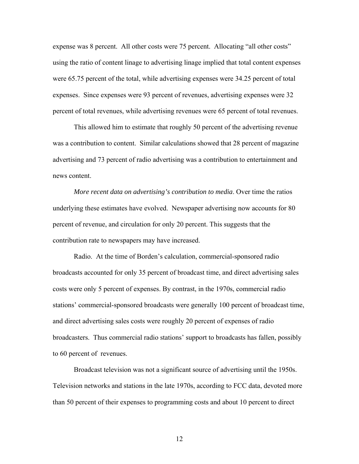expense was 8 percent. All other costs were 75 percent. Allocating "all other costs" using the ratio of content linage to advertising linage implied that total content expenses were 65.75 percent of the total, while advertising expenses were 34.25 percent of total expenses. Since expenses were 93 percent of revenues, advertising expenses were 32 percent of total revenues, while advertising revenues were 65 percent of total revenues.

 This allowed him to estimate that roughly 50 percent of the advertising revenue was a contribution to content. Similar calculations showed that 28 percent of magazine advertising and 73 percent of radio advertising was a contribution to entertainment and news content.

*More recent data on advertising's contribution to media*. Over time the ratios underlying these estimates have evolved. Newspaper advertising now accounts for 80 percent of revenue, and circulation for only 20 percent. This suggests that the contribution rate to newspapers may have increased.

 Radio. At the time of Borden's calculation, commercial-sponsored radio broadcasts accounted for only 35 percent of broadcast time, and direct advertising sales costs were only 5 percent of expenses. By contrast, in the 1970s, commercial radio stations' commercial-sponsored broadcasts were generally 100 percent of broadcast time, and direct advertising sales costs were roughly 20 percent of expenses of radio broadcasters. Thus commercial radio stations' support to broadcasts has fallen, possibly to 60 percent of revenues.

 Broadcast television was not a significant source of advertising until the 1950s. Television networks and stations in the late 1970s, according to FCC data, devoted more than 50 percent of their expenses to programming costs and about 10 percent to direct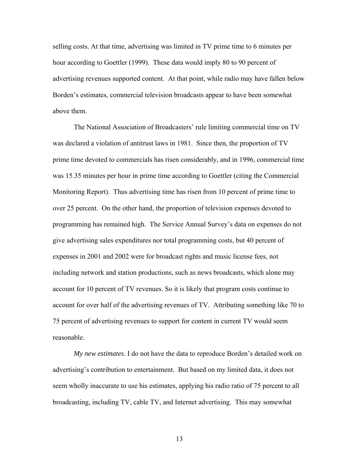selling costs. At that time, advertising was limited in TV prime time to 6 minutes per hour according to Goettler (1999). These data would imply 80 to 90 percent of advertising revenues supported content. At that point, while radio may have fallen below Borden's estimates, commercial television broadcasts appear to have been somewhat above them.

 The National Association of Broadcasters' rule limiting commercial time on TV was declared a violation of antitrust laws in 1981. Since then, the proportion of TV prime time devoted to commercials has risen considerably, and in 1996, commercial time was 15.35 minutes per hour in prime time according to Goettler (citing the Commercial Monitoring Report). Thus advertising time has risen from 10 percent of prime time to over 25 percent. On the other hand, the proportion of television expenses devoted to programming has remained high. The Service Annual Survey's data on expenses do not give advertising sales expenditures nor total programming costs, but 40 percent of expenses in 2001 and 2002 were for broadcast rights and music license fees, not including network and station productions, such as news broadcasts, which alone may account for 10 percent of TV revenues. So it is likely that program costs continue to account for over half of the advertising revenues of TV. Attributing something like 70 to 75 percent of advertising revenues to support for content in current TV would seem reasonable.

*My new estimates*. I do not have the data to reproduce Borden's detailed work on advertising's contribution to entertainment. But based on my limited data, it does not seem wholly inaccurate to use his estimates, applying his radio ratio of 75 percent to all broadcasting, including TV, cable TV, and Internet advertising. This may somewhat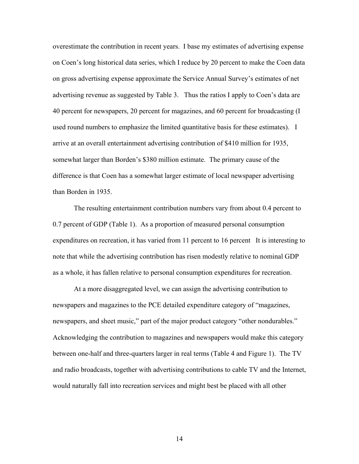overestimate the contribution in recent years. I base my estimates of advertising expense on Coen's long historical data series, which I reduce by 20 percent to make the Coen data on gross advertising expense approximate the Service Annual Survey's estimates of net advertising revenue as suggested by Table 3. Thus the ratios I apply to Coen's data are 40 percent for newspapers, 20 percent for magazines, and 60 percent for broadcasting (I used round numbers to emphasize the limited quantitative basis for these estimates). I arrive at an overall entertainment advertising contribution of \$410 million for 1935, somewhat larger than Borden's \$380 million estimate. The primary cause of the difference is that Coen has a somewhat larger estimate of local newspaper advertising than Borden in 1935.

 The resulting entertainment contribution numbers vary from about 0.4 percent to 0.7 percent of GDP (Table 1). As a proportion of measured personal consumption expenditures on recreation, it has varied from 11 percent to 16 percent It is interesting to note that while the advertising contribution has risen modestly relative to nominal GDP as a whole, it has fallen relative to personal consumption expenditures for recreation.

 At a more disaggregated level, we can assign the advertising contribution to newspapers and magazines to the PCE detailed expenditure category of "magazines, newspapers, and sheet music," part of the major product category "other nondurables." Acknowledging the contribution to magazines and newspapers would make this category between one-half and three-quarters larger in real terms (Table 4 and Figure 1). The TV and radio broadcasts, together with advertising contributions to cable TV and the Internet, would naturally fall into recreation services and might best be placed with all other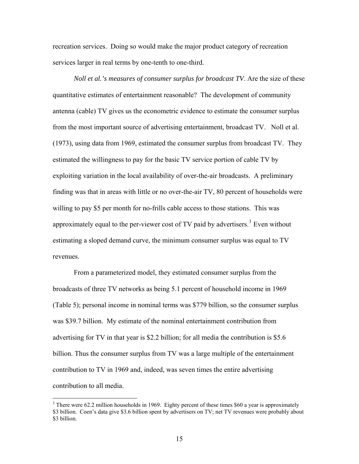recreation services. Doing so would make the major product category of recreation services larger in real terms by one-tenth to one-third.

*Noll et al.'s measures of consumer surplus for broadcast TV*. Are the size of these quantitative estimates of entertainment reasonable? The development of community antenna (cable) TV gives us the econometric evidence to estimate the consumer surplus from the most important source of advertising entertainment, broadcast TV. Noll et al. (1973), using data from 1969, estimated the consumer surplus from broadcast TV. They estimated the willingness to pay for the basic TV service portion of cable TV by exploiting variation in the local availability of over-the-air broadcasts. A preliminary finding was that in areas with little or no over-the-air TV, 80 percent of households were willing to pay \$5 per month for no-frills cable access to those stations. This was approximately equal to the per-viewer cost of TV paid by advertisers.<sup>[3](#page-16-0)</sup> Even without estimating a sloped demand curve, the minimum consumer surplus was equal to TV revenues.

 From a parameterized model, they estimated consumer surplus from the broadcasts of three TV networks as being 5.1 percent of household income in 1969 (Table 5); personal income in nominal terms was \$779 billion, so the consumer surplus was \$39.7 billion. My estimate of the nominal entertainment contribution from advertising for TV in that year is \$2.2 billion; for all media the contribution is \$5.6 billion. Thus the consumer surplus from TV was a large multiple of the entertainment contribution to TV in 1969 and, indeed, was seven times the entire advertising contribution to all media.

 $\overline{a}$ 

<span id="page-16-0"></span> $3$  There were 62.2 million households in 1969. Eighty percent of these times \$60 a year is approximately \$3 billion. Coen's data give \$3.6 billion spent by advertisers on TV; net TV revenues were probably about \$3 billion.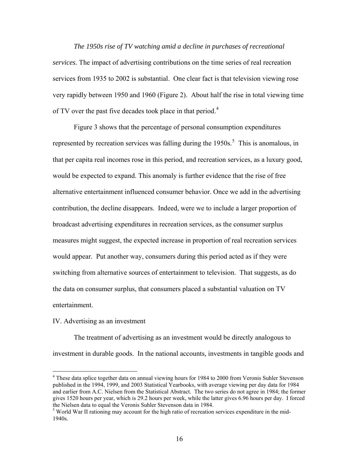*The 1950s rise of TV watching amid a decline in purchases of recreational services.* The impact of advertising contributions on the time series of real recreation services from 1935 to 2002 is substantial. One clear fact is that television viewing rose very rapidly between 1950 and 1960 (Figure 2). About half the rise in total viewing time of TV over the past five decades took place in that period.<sup>[4](#page-17-0)</sup>

 Figure 3 shows that the percentage of personal consumption expenditures represented by recreation services was falling during the  $1950s$  $1950s$  $1950s$ .<sup>5</sup> This is anomalous, in that per capita real incomes rose in this period, and recreation services, as a luxury good, would be expected to expand. This anomaly is further evidence that the rise of free alternative entertainment influenced consumer behavior. Once we add in the advertising contribution, the decline disappears. Indeed, were we to include a larger proportion of broadcast advertising expenditures in recreation services, as the consumer surplus measures might suggest, the expected increase in proportion of real recreation services would appear. Put another way, consumers during this period acted as if they were switching from alternative sources of entertainment to television. That suggests, as do the data on consumer surplus, that consumers placed a substantial valuation on TV entertainment.

#### IV. Advertising as an investment

 $\overline{a}$ 

 The treatment of advertising as an investment would be directly analogous to investment in durable goods. In the national accounts, investments in tangible goods and

<span id="page-17-0"></span><sup>&</sup>lt;sup>4</sup> These data splice together data on annual viewing hours for 1984 to 2000 from Veronis Suhler Stevenson published in the 1994, 1999, and 2003 Statistical Yearbooks, with average viewing per day data for 1984 and earlier from A.C. Nielsen from the Statistical Abstract. The two series do not agree in 1984; the former gives 1520 hours per year, which is 29.2 hours per week, while the latter gives 6.96 hours per day. I forced the Nielsen data to equal the Veronis Suhler Stevenson data in 1984.

<span id="page-17-1"></span><sup>&</sup>lt;sup>5</sup> World War II rationing may account for the high ratio of recreation services expenditure in the mid-1940s.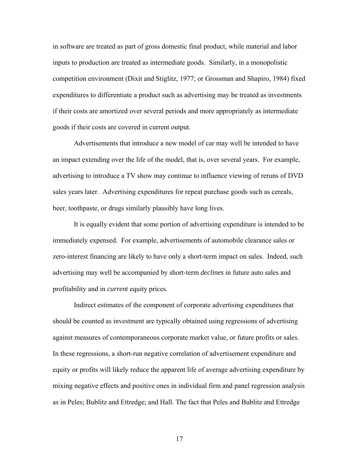in software are treated as part of gross domestic final product, while material and labor inputs to production are treated as intermediate goods. Similarly, in a monopolistic competition environment (Dixit and Stiglitz, 1977; or Grossman and Shapiro, 1984) fixed expenditures to differentiate a product such as advertising may be treated as investments if their costs are amortized over several periods and more appropriately as intermediate goods if their costs are covered in current output.

 Advertisements that introduce a new model of car may well be intended to have an impact extending over the life of the model, that is, over several years. For example, advertising to introduce a TV show may continue to influence viewing of reruns of DVD sales years later. Advertising expenditures for repeat purchase goods such as cereals, beer, toothpaste, or drugs similarly plausibly have long lives.

 It is equally evident that some portion of advertising expenditure is intended to be immediately expensed. For example, advertisements of automobile clearance sales or zero-interest financing are likely to have only a short-term impact on sales. Indeed, such advertising may well be accompanied by short-term *declines* in future auto sales and profitability and in *current* equity prices.

 Indirect estimates of the component of corporate advertising expenditures that should be counted as investment are typically obtained using regressions of advertising against measures of contemporaneous corporate market value, or future profits or sales. In these regressions, a short-run negative correlation of advertisement expenditure and equity or profits will likely reduce the apparent life of average advertising expenditure by mixing negative effects and positive ones in individual firm and panel regression analysis as in Peles; Bublitz and Ettredge; and Hall. The fact that Peles and Bublitz and Ettredge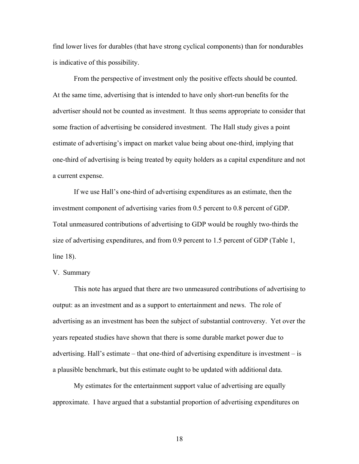find lower lives for durables (that have strong cyclical components) than for nondurables is indicative of this possibility.

 From the perspective of investment only the positive effects should be counted. At the same time, advertising that is intended to have only short-run benefits for the advertiser should not be counted as investment. It thus seems appropriate to consider that some fraction of advertising be considered investment. The Hall study gives a point estimate of advertising's impact on market value being about one-third, implying that one-third of advertising is being treated by equity holders as a capital expenditure and not a current expense.

 If we use Hall's one-third of advertising expenditures as an estimate, then the investment component of advertising varies from 0.5 percent to 0.8 percent of GDP. Total unmeasured contributions of advertising to GDP would be roughly two-thirds the size of advertising expenditures, and from 0.9 percent to 1.5 percent of GDP (Table 1, line 18).

## V. Summary

 This note has argued that there are two unmeasured contributions of advertising to output: as an investment and as a support to entertainment and news. The role of advertising as an investment has been the subject of substantial controversy. Yet over the years repeated studies have shown that there is some durable market power due to advertising. Hall's estimate – that one-third of advertising expenditure is investment – is a plausible benchmark, but this estimate ought to be updated with additional data.

 My estimates for the entertainment support value of advertising are equally approximate. I have argued that a substantial proportion of advertising expenditures on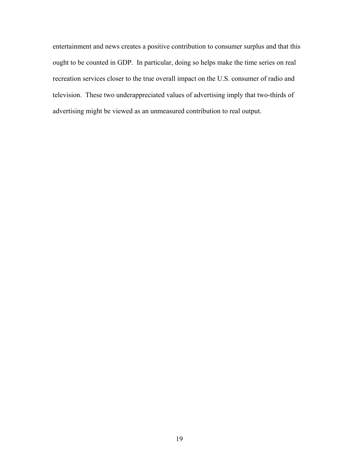entertainment and news creates a positive contribution to consumer surplus and that this ought to be counted in GDP. In particular, doing so helps make the time series on real recreation services closer to the true overall impact on the U.S. consumer of radio and television. These two underappreciated values of advertising imply that two-thirds of advertising might be viewed as an unmeasured contribution to real output.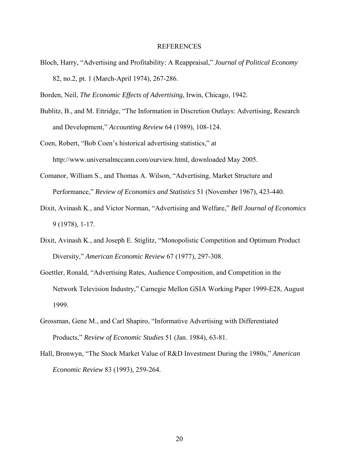#### REFERENCES

- Bloch, Harry, "Advertising and Profitability: A Reappraisal," *Journal of Political Economy* 82, no.2, pt. 1 (March-April 1974), 267-286.
- Borden, Neil, *The Economic Effects of Advertising*, Irwin, Chicago, 1942.
- Bublitz, B., and M. Ettridge, "The Information in Discretion Outlays: Advertising, Research and Development," *Accounting Review* 64 (1989), 108-124.

Coen, Robert, "Bob Coen's historical advertising statistics," at http://www.universalmccann.com/ourview.html, downloaded May 2005.

- Comanor, William S., and Thomas A. Wilson, "Advertising, Market Structure and Performance," *Review of Economics and Statistics* 51 (November 1967), 423-440.
- Dixit, Avinash K., and Victor Norman, "Advertising and Welfare," *Bell Journal of Economics* 9 (1978), 1-17.
- Dixit, Avinash K., and Joseph E. Stiglitz, "Monopolistic Competition and Optimum Product Diversity," *American Economic Review* 67 (1977), 297-308.
- Goettler, Ronald, "Advertising Rates, Audience Composition, and Competition in the Network Television Industry," Carnegie Mellon GSIA Working Paper 1999-E28, August 1999.
- Grossman, Gene M., and Carl Shapiro, "Informative Advertising with Differentiated Products," *Review of Economic Studies* 51 (Jan. 1984), 63-81.
- Hall, Bronwyn, "The Stock Market Value of R&D Investment During the 1980s," *American Economic Review* 83 (1993), 259-264.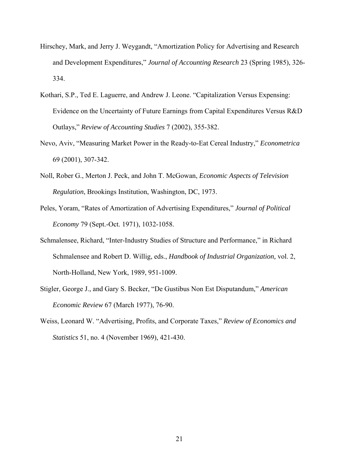- Hirschey, Mark, and Jerry J. Weygandt, "Amortization Policy for Advertising and Research and Development Expenditures," *Journal of Accounting Research* 23 (Spring 1985), 326- 334.
- Kothari, S.P., Ted E. Laguerre, and Andrew J. Leone. "Capitalization Versus Expensing: Evidence on the Uncertainty of Future Earnings from Capital Expenditures Versus R&D Outlays," *Review of Accounting Studies* 7 (2002), 355-382.
- Nevo, Aviv, "Measuring Market Power in the Ready-to-Eat Cereal Industry," *Econometrica* 69 (2001), 307-342.
- Noll, Rober G., Merton J. Peck, and John T. McGowan, *Economic Aspects of Television Regulation*, Brookings Institution, Washington, DC, 1973.
- Peles, Yoram, "Rates of Amortization of Advertising Expenditures," *Journal of Political Economy* 79 (Sept.-Oct. 1971), 1032-1058.
- Schmalensee, Richard, "Inter-Industry Studies of Structure and Performance," in Richard Schmalensee and Robert D. Willig, eds., *Handbook of Industrial Organization,* vol. 2, North-Holland, New York, 1989, 951-1009.
- Stigler, George J., and Gary S. Becker, "De Gustibus Non Est Disputandum," *American Economic Review* 67 (March 1977), 76-90.
- Weiss, Leonard W. "Advertising, Profits, and Corporate Taxes," *Review of Economics and Statistics* 51, no. 4 (November 1969), 421-430.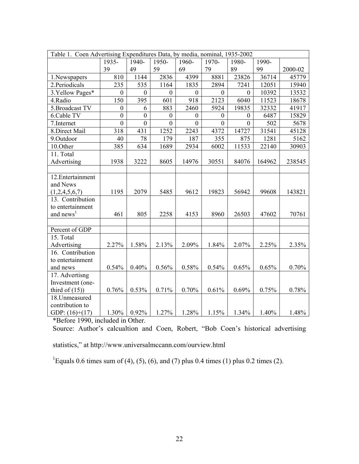| Table 1. Coen Advertising Expenditures Data, by media, nominal, 1935-2002 |                  |                  |                  |                  |                  |                  |        |         |
|---------------------------------------------------------------------------|------------------|------------------|------------------|------------------|------------------|------------------|--------|---------|
|                                                                           | 1935-            | 1940-            | 1950-            | 1960-            | 1970-            | 1980-            | 1990-  |         |
|                                                                           | 39               | 49               | 59               | 69               | 79               | 89               | 99     | 2000-02 |
| 1.Newspapers                                                              | 810              | 1144             | 2836             | 4399             | 8881             | 23826            | 36714  | 45779   |
| 2.Periodicals                                                             | 235              | 535              | 1164             | 1835             | 2894             | 7241             | 12051  | 15940   |
| 3. Yellow Pages*                                                          | $\boldsymbol{0}$ | $\boldsymbol{0}$ | $\boldsymbol{0}$ | $\boldsymbol{0}$ | $\boldsymbol{0}$ | $\mathbf{0}$     | 10392  | 13532   |
| 4.Radio                                                                   | 150              | 395              | 601              | 918              | 2123             | 6040             | 11523  | 18678   |
| 5. Broadcast TV                                                           | $\boldsymbol{0}$ | 6                | 883              | 2460             | 5924             | 19835            | 32332  | 41917   |
| $\overline{6}$ .Cable TV                                                  | $\boldsymbol{0}$ | $\boldsymbol{0}$ | $\boldsymbol{0}$ | $\boldsymbol{0}$ | $\boldsymbol{0}$ | $\boldsymbol{0}$ | 6487   | 15829   |
| 7. Internet                                                               | $\overline{0}$   | $\boldsymbol{0}$ | $\overline{0}$   | $\mathbf{0}$     | $\overline{0}$   | $\overline{0}$   | 502    | 5678    |
| 8.Direct Mail                                                             | 318              | 431              | 1252             | 2243             | 4372             | 14727            | 31541  | 45128   |
| 9.Outdoor                                                                 | 40               | 78               | 179              | 187              | 355              | 875              | 1281   | 5162    |
| 10.Other                                                                  | 385              | 634              | 1689             | 2934             | 6002             | 11533            | 22140  | 30903   |
| 11. Total                                                                 |                  |                  |                  |                  |                  |                  |        |         |
| Advertising                                                               | 1938             | 3222             | 8605             | 14976            | 30551            | 84076            | 164962 | 238545  |
|                                                                           |                  |                  |                  |                  |                  |                  |        |         |
| 12. Entertainment                                                         |                  |                  |                  |                  |                  |                  |        |         |
| and News                                                                  |                  |                  |                  |                  |                  |                  |        |         |
| (1,2,4,5,6,7)                                                             | 1195             | 2079             | 5485             | 9612             | 19823            | 56942            | 99608  | 143821  |
| 13. Contribution                                                          |                  |                  |                  |                  |                  |                  |        |         |
| to entertainment                                                          |                  |                  |                  |                  |                  |                  |        |         |
| and news <sup>1</sup>                                                     | 461              | 805              | 2258             | 4153             | 8960             | 26503            | 47602  | 70761   |
|                                                                           |                  |                  |                  |                  |                  |                  |        |         |
| Percent of GDP                                                            |                  |                  |                  |                  |                  |                  |        |         |
| 15. Total                                                                 |                  |                  |                  |                  |                  |                  |        |         |
| Advertising                                                               | 2.27%            | 1.58%            | 2.13%            | 2.09%            | 1.84%            | 2.07%            | 2.25%  | 2.35%   |
| 16. Contribution                                                          |                  |                  |                  |                  |                  |                  |        |         |
| to entertainment                                                          |                  |                  |                  |                  |                  |                  |        |         |
| and news                                                                  | 0.54%            | 0.40%            | 0.56%            | 0.58%            | 0.54%            | 0.65%            | 0.65%  | 0.70%   |
| 17. Advertisng                                                            |                  |                  |                  |                  |                  |                  |        |         |
| Investment (one-                                                          |                  |                  |                  |                  |                  |                  |        |         |
| third of $(15)$                                                           | 0.76%            | 0.53%            | 0.71%            | 0.70%            | 0.61%            | 0.69%            | 0.75%  | 0.78%   |
| 18. Unmeasured                                                            |                  |                  |                  |                  |                  |                  |        |         |
| contribution to                                                           |                  |                  |                  |                  |                  |                  |        |         |
| GDP: $(16)+(17)$                                                          | 1.30%            | 0.92%            | 1.27%            | 1.28%            | 1.15%            | 1.34%            | 1.40%  | 1.48%   |

\*Before 1990, included in Other.

Source: Author's calcualtion and Coen, Robert, "Bob Coen's historical advertising

statistics," at http://www.universalmccann.com/ourview.html

<sup>1</sup>Equals 0.6 times sum of (4), (5), (6), and (7) plus 0.4 times (1) plus 0.2 times (2).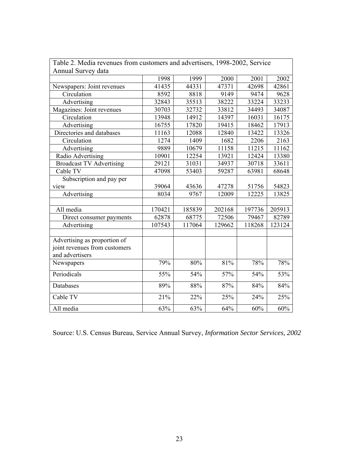| Table 2. Media revenues from customers and advertisers, 1998-2002, Service |        |        |        |        |        |
|----------------------------------------------------------------------------|--------|--------|--------|--------|--------|
| Annual Survey data                                                         |        |        |        |        |        |
|                                                                            | 1998   | 1999   | 2000   | 2001   | 2002   |
| Newspapers: Joint revenues                                                 | 41435  | 44331  | 47371  | 42698  | 42861  |
| Circulation                                                                | 8592   | 8818   | 9149   | 9474   | 9628   |
| Advertising                                                                | 32843  | 35513  | 38222  | 33224  | 33233  |
| Magazines: Joint revenues                                                  | 30703  | 32732  | 33812  | 34493  | 34087  |
| Circulation                                                                | 13948  | 14912  | 14397  | 16031  | 16175  |
| Advertising                                                                | 16755  | 17820  | 19415  | 18462  | 17913  |
| Directories and databases                                                  | 11163  | 12088  | 12840  | 13422  | 13326  |
| Circulation                                                                | 1274   | 1409   | 1682   | 2206   | 2163   |
| Advertising                                                                | 9889   | 10679  | 11158  | 11215  | 11162  |
| Radio Advertising                                                          | 10901  | 12254  | 13921  | 12424  | 13380  |
| <b>Broadcast TV Advertising</b>                                            | 29121  | 31031  | 34937  | 30718  | 33611  |
| Cable TV                                                                   | 47098  | 53403  | 59287  | 63981  | 68648  |
| Subscription and pay per                                                   |        |        |        |        |        |
| view                                                                       | 39064  | 43636  | 47278  | 51756  | 54823  |
| <b>Advertising</b>                                                         | 8034   | 9767   | 12009  | 12225  | 13825  |
|                                                                            |        |        |        |        |        |
| All media                                                                  | 170421 | 185839 | 202168 | 197736 | 205913 |
| Direct consumer payments                                                   | 62878  | 68775  | 72506  | 79467  | 82789  |
| Advertising                                                                | 107543 | 117064 | 129662 | 118268 | 123124 |
|                                                                            |        |        |        |        |        |
| Advertising as proportion of                                               |        |        |        |        |        |
| joint revenues from customers                                              |        |        |        |        |        |
| and advertisers                                                            |        |        |        |        |        |
| Newspapers                                                                 | 79%    | 80%    | 81%    | 78%    | 78%    |
| Periodicals                                                                | 55%    | 54%    | 57%    | 54%    | 53%    |
| Databases                                                                  | 89%    | 88%    | 87%    | 84%    | 84%    |
| Cable TV                                                                   | 21%    | 22%    | 25%    | 24%    | 25%    |
| All media                                                                  | 63%    | 63%    | 64%    | 60%    | 60%    |

Table 2. Media revenues from customers and advertisers, 1998-2002, Service

Source: U.S. Census Bureau, Service Annual Survey, *Information Sector Services, 2002*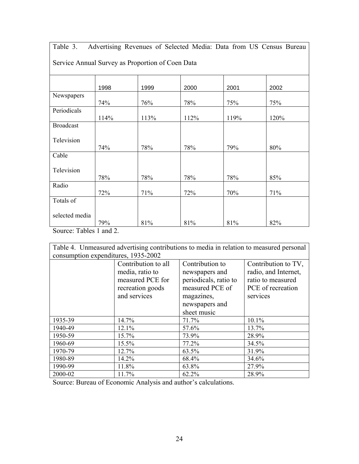Table 3. Advertising Revenues of Selected Media: Data from US Census Bureau Service Annual Survey as Proportion of Coen Data 1998 1999 2000 2001 2002 **Newspapers** 74% 76% 78% 75% 75% **Periodicals** 114% 113% 112% 119% 120% **Broadcast** Television 74% 78% 78% 79% 80% Cable Television 78% 78% 78% 78% 85% Radio 72% 71% 72% 70% 71% Totals of selected media 79% 81% 81% 81% 82%

Source: Tables 1 and 2.

Table 4. Unmeasured advertising contributions to media in relation to measured personal consumption expenditures, 1935-2002 Contribution to all media, ratio to measured PCE for recreation goods and services Contribution to newspapers and periodicals, ratio to measured PCE of magazines, newspapers and sheet music Contribution to TV, radio, and Internet, ratio to measured PCE of recreation services 1935-39 14.7% 71.7% 10.1% 1940-49 12.1% 57.6% 13.7% 1950-59 15.7% 73.9% 28.9% 1960-69 15.5% 77.2% 34.5% 1970-79 12.7% 63.5% 31.9% 1980-89 14.2% 68.4% 34.6% 1990-99 11.8% 63.8% 27.9% 2000-02 11.7% 62.2% 28.9%

Source: Bureau of Economic Analysis and author's calculations.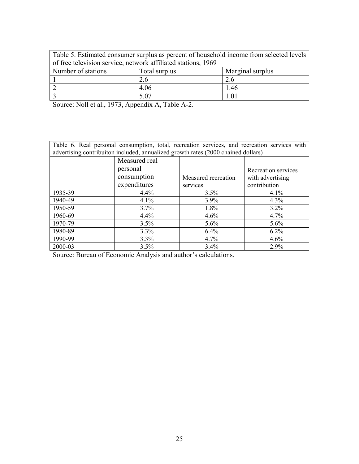| Table 5. Estimated consumer surplus as percent of household income from selected levels<br>of free television service, network affiliated stations, 1969 |               |                  |  |  |  |
|----------------------------------------------------------------------------------------------------------------------------------------------------------|---------------|------------------|--|--|--|
| Number of stations                                                                                                                                       | Total surplus | Marginal surplus |  |  |  |
|                                                                                                                                                          | 2.6           | 2.6              |  |  |  |
|                                                                                                                                                          | 4.06          | 1.46             |  |  |  |
|                                                                                                                                                          | 5.07          | 1.01             |  |  |  |

Source: Noll et al., 1973, Appendix A, Table A-2.

| Table 6. Real personal consumption, total, recreation services, and recreation services with<br>advertising contribuiton included, annualized growth rates (2000 chained dollars) |                                          |                     |                                         |  |  |  |
|-----------------------------------------------------------------------------------------------------------------------------------------------------------------------------------|------------------------------------------|---------------------|-----------------------------------------|--|--|--|
|                                                                                                                                                                                   | Measured real<br>personal<br>consumption | Measured recreation | Recreation services<br>with advertising |  |  |  |
|                                                                                                                                                                                   | expenditures                             | services            | contribution                            |  |  |  |
| 1935-39                                                                                                                                                                           | $4.4\%$                                  | $3.5\%$             | $4.1\%$                                 |  |  |  |
| 1940-49                                                                                                                                                                           | 4.1%                                     | $3.9\%$             | 4.3%                                    |  |  |  |
| 1950-59                                                                                                                                                                           | 3.7%                                     | 1.8%                | $3.2\%$                                 |  |  |  |
| 1960-69                                                                                                                                                                           | 4.4%                                     | 4.6%                | 4.7%                                    |  |  |  |
| 1970-79                                                                                                                                                                           | 3.5%                                     | 5.6%                | 5.6%                                    |  |  |  |
| 1980-89                                                                                                                                                                           | 3.3%                                     | 6.4%                | $6.2\%$                                 |  |  |  |
| 1990-99                                                                                                                                                                           | 3.3%                                     | 4.7%                | 4.6%                                    |  |  |  |
| 2000-03                                                                                                                                                                           | 3.5%                                     | 3.4%                | 2.9%                                    |  |  |  |

Source: Bureau of Economic Analysis and author's calculations.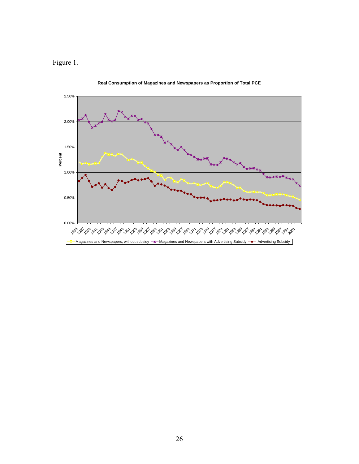# Figure 1.



**Real Consumption of Magazines and Newspapers as Proportion of Total PCE**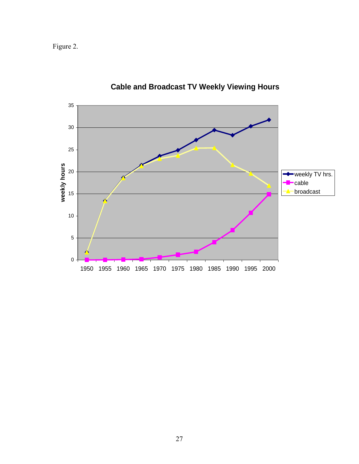Figure 2.



**Cable and Broadcast TV Weekly Viewing Hours**